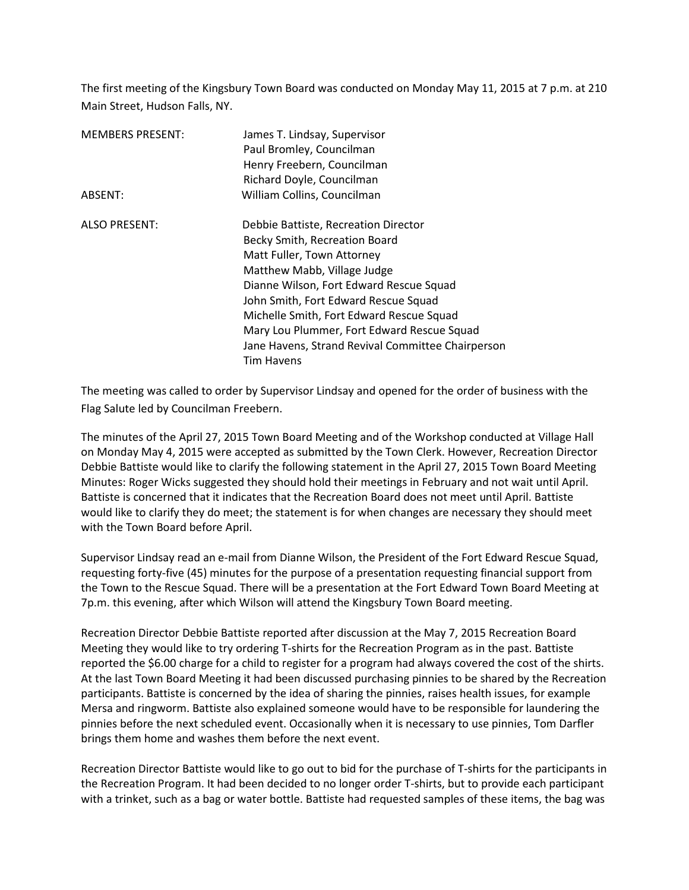The first meeting of the Kingsbury Town Board was conducted on Monday May 11, 2015 at 7 p.m. at 210 Main Street, Hudson Falls, NY.

| <b>MEMBERS PRESENT:</b> | James T. Lindsay, Supervisor<br>Paul Bromley, Councilman<br>Henry Freebern, Councilman<br>Richard Doyle, Councilman                                                                                                                                                                                                                                                                       |
|-------------------------|-------------------------------------------------------------------------------------------------------------------------------------------------------------------------------------------------------------------------------------------------------------------------------------------------------------------------------------------------------------------------------------------|
| ABSENT:                 | William Collins, Councilman                                                                                                                                                                                                                                                                                                                                                               |
| <b>ALSO PRESENT:</b>    | Debbie Battiste, Recreation Director<br>Becky Smith, Recreation Board<br>Matt Fuller, Town Attorney<br>Matthew Mabb, Village Judge<br>Dianne Wilson, Fort Edward Rescue Squad<br>John Smith, Fort Edward Rescue Squad<br>Michelle Smith, Fort Edward Rescue Squad<br>Mary Lou Plummer, Fort Edward Rescue Squad<br>Jane Havens, Strand Revival Committee Chairperson<br><b>Tim Havens</b> |

The meeting was called to order by Supervisor Lindsay and opened for the order of business with the Flag Salute led by Councilman Freebern.

The minutes of the April 27, 2015 Town Board Meeting and of the Workshop conducted at Village Hall on Monday May 4, 2015 were accepted as submitted by the Town Clerk. However, Recreation Director Debbie Battiste would like to clarify the following statement in the April 27, 2015 Town Board Meeting Minutes: Roger Wicks suggested they should hold their meetings in February and not wait until April. Battiste is concerned that it indicates that the Recreation Board does not meet until April. Battiste would like to clarify they do meet; the statement is for when changes are necessary they should meet with the Town Board before April.

Supervisor Lindsay read an e-mail from Dianne Wilson, the President of the Fort Edward Rescue Squad, requesting forty-five (45) minutes for the purpose of a presentation requesting financial support from the Town to the Rescue Squad. There will be a presentation at the Fort Edward Town Board Meeting at 7p.m. this evening, after which Wilson will attend the Kingsbury Town Board meeting.

Recreation Director Debbie Battiste reported after discussion at the May 7, 2015 Recreation Board Meeting they would like to try ordering T-shirts for the Recreation Program as in the past. Battiste reported the \$6.00 charge for a child to register for a program had always covered the cost of the shirts. At the last Town Board Meeting it had been discussed purchasing pinnies to be shared by the Recreation participants. Battiste is concerned by the idea of sharing the pinnies, raises health issues, for example Mersa and ringworm. Battiste also explained someone would have to be responsible for laundering the pinnies before the next scheduled event. Occasionally when it is necessary to use pinnies, Tom Darfler brings them home and washes them before the next event.

Recreation Director Battiste would like to go out to bid for the purchase of T-shirts for the participants in the Recreation Program. It had been decided to no longer order T-shirts, but to provide each participant with a trinket, such as a bag or water bottle. Battiste had requested samples of these items, the bag was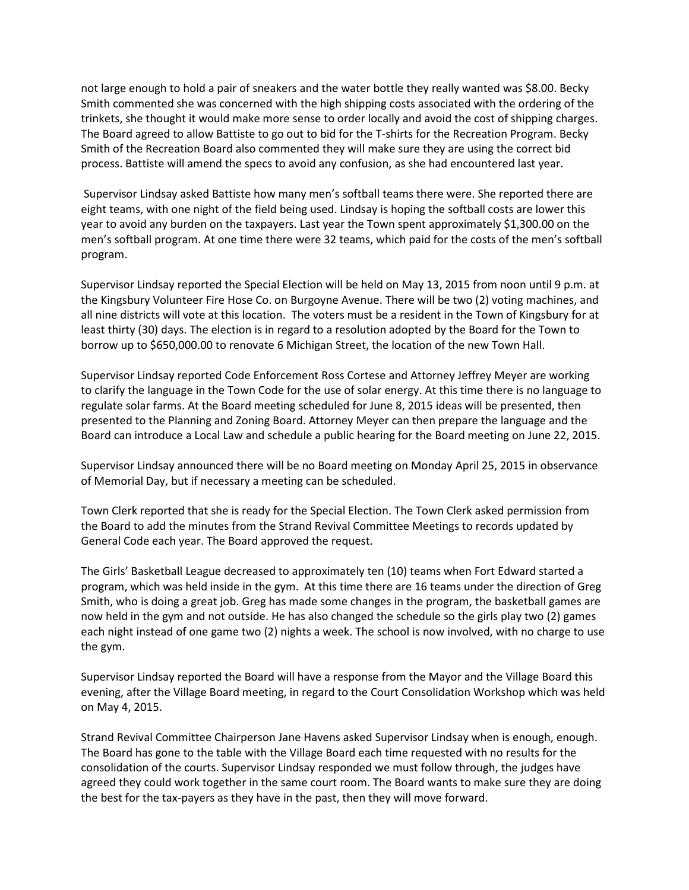not large enough to hold a pair of sneakers and the water bottle they really wanted was \$8.00. Becky Smith commented she was concerned with the high shipping costs associated with the ordering of the trinkets, she thought it would make more sense to order locally and avoid the cost of shipping charges. The Board agreed to allow Battiste to go out to bid for the T-shirts for the Recreation Program. Becky Smith of the Recreation Board also commented they will make sure they are using the correct bid process. Battiste will amend the specs to avoid any confusion, as she had encountered last year.

 Supervisor Lindsay asked Battiste how many men's softball teams there were. She reported there are eight teams, with one night of the field being used. Lindsay is hoping the softball costs are lower this year to avoid any burden on the taxpayers. Last year the Town spent approximately \$1,300.00 on the men's softball program. At one time there were 32 teams, which paid for the costs of the men's softball program.

Supervisor Lindsay reported the Special Election will be held on May 13, 2015 from noon until 9 p.m. at the Kingsbury Volunteer Fire Hose Co. on Burgoyne Avenue. There will be two (2) voting machines, and all nine districts will vote at this location. The voters must be a resident in the Town of Kingsbury for at least thirty (30) days. The election is in regard to a resolution adopted by the Board for the Town to borrow up to \$650,000.00 to renovate 6 Michigan Street, the location of the new Town Hall.

Supervisor Lindsay reported Code Enforcement Ross Cortese and Attorney Jeffrey Meyer are working to clarify the language in the Town Code for the use of solar energy. At this time there is no language to regulate solar farms. At the Board meeting scheduled for June 8, 2015 ideas will be presented, then presented to the Planning and Zoning Board. Attorney Meyer can then prepare the language and the Board can introduce a Local Law and schedule a public hearing for the Board meeting on June 22, 2015.

Supervisor Lindsay announced there will be no Board meeting on Monday April 25, 2015 in observance of Memorial Day, but if necessary a meeting can be scheduled.

Town Clerk reported that she is ready for the Special Election. The Town Clerk asked permission from the Board to add the minutes from the Strand Revival Committee Meetings to records updated by General Code each year. The Board approved the request.

The Girls' Basketball League decreased to approximately ten (10) teams when Fort Edward started a program, which was held inside in the gym. At this time there are 16 teams under the direction of Greg Smith, who is doing a great job. Greg has made some changes in the program, the basketball games are now held in the gym and not outside. He has also changed the schedule so the girls play two (2) games each night instead of one game two (2) nights a week. The school is now involved, with no charge to use the gym.

Supervisor Lindsay reported the Board will have a response from the Mayor and the Village Board this evening, after the Village Board meeting, in regard to the Court Consolidation Workshop which was held on May 4, 2015.

Strand Revival Committee Chairperson Jane Havens asked Supervisor Lindsay when is enough, enough. The Board has gone to the table with the Village Board each time requested with no results for the consolidation of the courts. Supervisor Lindsay responded we must follow through, the judges have agreed they could work together in the same court room. The Board wants to make sure they are doing the best for the tax-payers as they have in the past, then they will move forward.